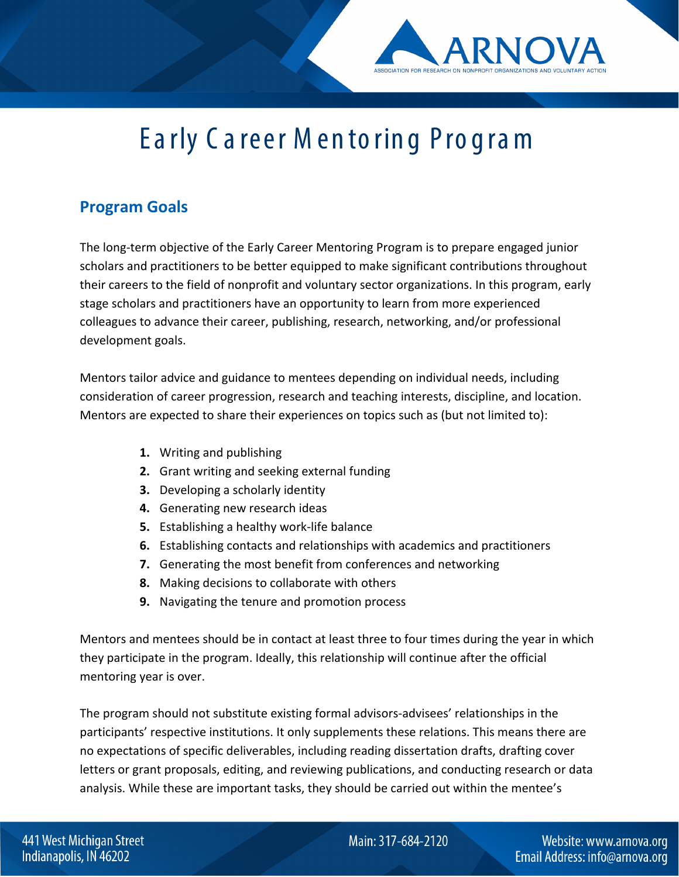## Ea rly C a reer M en to rin g Pro g ra m

## **Program Goals**

The long-term objective of the Early Career Mentoring Program is to prepare engaged junior scholars and practitioners to be better equipped to make significant contributions throughout their careers to the field of nonprofit and voluntary sector organizations. In this program, early stage scholars and practitioners have an opportunity to learn from more experienced colleagues to advance their career, publishing, research, networking, and/or professional development goals.

Mentors tailor advice and guidance to mentees depending on individual needs, including consideration of career progression, research and teaching interests, discipline, and location. Mentors are expected to share their experiences on topics such as (but not limited to):

- **1.** Writing and publishing
- **2.** Grant writing and seeking external funding
- **3.** Developing a scholarly identity
- **4.** Generating new research ideas
- **5.** Establishing a healthy work-life balance
- **6.** Establishing contacts and relationships with academics and practitioners
- **7.** Generating the most benefit from conferences and networking
- **8.** Making decisions to collaborate with others
- **9.** Navigating the tenure and promotion process

Mentors and mentees should be in contact at least three to four times during the year in which they participate in the program. Ideally, this relationship will continue after the official mentoring year is over.

The program should not substitute existing formal advisors-advisees' relationships in the participants' respective institutions. It only supplements these relations. This means there are no expectations of specific deliverables, including reading dissertation drafts, drafting cover letters or grant proposals, editing, and reviewing publications, and conducting research or data analysis. While these are important tasks, they should be carried out within the mentee's